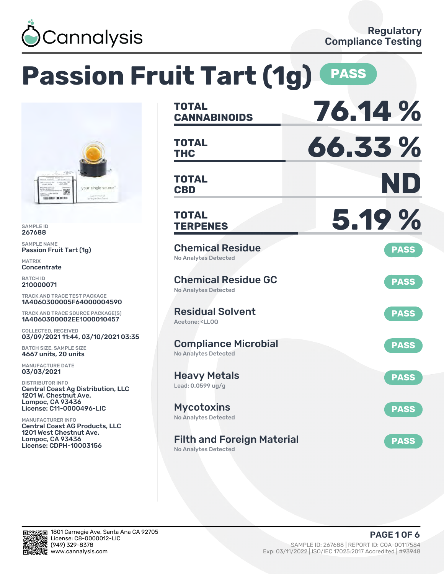

|                                                                                                                                                          | <b>Passion Fruit Tart (1g)</b>                                                           | <b>PASS</b> |
|----------------------------------------------------------------------------------------------------------------------------------------------------------|------------------------------------------------------------------------------------------|-------------|
|                                                                                                                                                          | <b>TOTAL</b><br><b>CANNABINOIDS</b>                                                      | 76.14 %     |
|                                                                                                                                                          | <b>TOTAL</b><br><b>THC</b>                                                               | 66.33%      |
| your single source"<br>rawgarden farm<br><b><i><u><b>ANGHUAN ING BERSIDEN BERS</b></u></i></b>                                                           | <b>TOTAL</b><br><b>CBD</b>                                                               | ND          |
| <b>SAMPLE ID</b><br>267688                                                                                                                               | <b>TOTAL</b><br><b>TERPENES</b>                                                          | 5.19 %      |
| <b>SAMPLE NAME</b><br><b>Passion Fruit Tart (1g)</b><br><b>MATRIX</b><br>Concentrate                                                                     | <b>Chemical Residue</b><br><b>No Analytes Detected</b>                                   | <b>PASS</b> |
| <b>BATCH ID</b><br>210000071<br><b>TRACK AND TRACE TEST PACKAGE</b>                                                                                      | <b>Chemical Residue GC</b><br><b>No Analytes Detected</b>                                | <b>PASS</b> |
| 1A4060300005F64000004590<br>TRACK AND TRACE SOURCE PACKAGE(S)<br>1A4060300002EE1000010457                                                                | <b>Residual Solvent</b><br>Acetone: <ll00< td=""><td><b>PASS</b></td></ll00<>            | <b>PASS</b> |
| <b>COLLECTED, RECEIVED</b><br>03/09/2021 11:44, 03/10/2021 03:35<br><b>BATCH SIZE, SAMPLE SIZE</b><br>4667 units, 20 units                               | <b>Compliance Microbial</b><br><b>No Analytes Detected</b>                               | <b>PASS</b> |
| <b>MANUFACTURE DATE</b><br>03/03/2021<br><b>DISTRIBUTOR INFO</b>                                                                                         | <b>Heavy Metals</b><br>Lead: 0.0599 ug/g                                                 | <b>PASS</b> |
| <b>Central Coast Ag Distribution, LLC</b><br>1201 W. Chestnut Ave.<br>Lompoc, CA 93436<br>License: C11-0000496-LIC                                       | <b>Mycotoxins</b>                                                                        | <b>PASS</b> |
| <b>MANUFACTURER INFO</b><br><b>Central Coast AG Products, LLC</b><br><b>1201 West Chestnut Ave.</b><br>Lompoc, CA 93436<br><b>License: CDPH-10003156</b> | No Analytes Detected<br><b>Filth and Foreign Material</b><br><b>No Analytes Detected</b> | <b>PASS</b> |



(949) 329-8378 SAMPLE ID: 267688 | REPORT ID: COA-00117584 Exp: 03/11/2022 | ISO/IEC 17025:2017 Accredited | #93948 PAGE 1 OF 6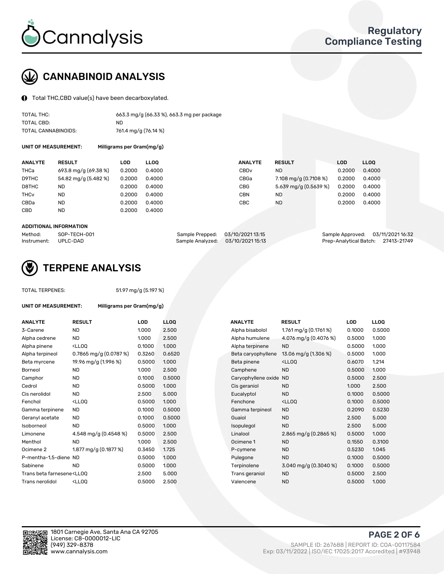

# CANNABINOID ANALYSIS

Total THC,CBD value(s) have been decarboxylated.

| TOTAL THC:          | 663.3 mg/g (66.33 %), 663.3 mg per package |
|---------------------|--------------------------------------------|
| TOTAL CBD:          | ND.                                        |
| TOTAL CANNABINOIDS: | 761.4 mg/g (76.14 %)                       |

UNIT OF MEASUREMENT: Milligrams per Gram(mg/g)

| <b>ANALYTE</b>         | <b>RESULT</b>        | LOD    | <b>LLOO</b> | <b>ANALYTE</b>   | <b>RESULT</b>         | LOD    | <b>LLOO</b> |
|------------------------|----------------------|--------|-------------|------------------|-----------------------|--------|-------------|
| THCa                   | 693.8 mg/g (69.38 %) | 0.2000 | 0.4000      | CBD <sub>v</sub> | ND.                   | 0.2000 | 0.4000      |
| D9THC                  | 54.82 mg/g (5.482 %) | 0.2000 | 0.4000      | CBGa             | 7.108 mg/g (0.7108 %) | 0.2000 | 0.4000      |
| D8THC                  | ND                   | 0.2000 | 0.4000      | CBG              | 5.639 mg/g (0.5639 %) | 0.2000 | 0.4000      |
| <b>THC<sub>v</sub></b> | ND                   | 0.2000 | 0.4000      | CBN              | ND.                   | 0.2000 | 0.4000      |
| CBDa                   | <b>ND</b>            | 0.2000 | 0.4000      | CBC              | <b>ND</b>             | 0.2000 | 0.4000      |
| <b>CBD</b>             | <b>ND</b>            | 0.2000 | 0.4000      |                  |                       |        |             |

#### ADDITIONAL INFORMATION

| Method:              | SOP-TECH-001 | Sample Prepped: 03/10/2021 13:15  | Sample Approved: 03/11/2021 16:32  |  |
|----------------------|--------------|-----------------------------------|------------------------------------|--|
| Instrument: UPLC-DAD |              | Sample Analyzed: 03/10/2021 15:13 | Prep-Analytical Batch: 27413-21749 |  |



## TERPENE ANALYSIS

TOTAL TERPENES: 51.97 mg/g (5.197 %)

| UNIT OF MEASUREMENT:                                                           | Milligrams per Gram(mg/g)                         |        |                  |  |  |  |
|--------------------------------------------------------------------------------|---------------------------------------------------|--------|------------------|--|--|--|
| <b>ANALYTE</b>                                                                 | <b>RESULT</b>                                     | LOD    | LLC              |  |  |  |
| 3-Carene                                                                       | <b>ND</b>                                         | 1.000  | 2.5(             |  |  |  |
| Alpha cedrene                                                                  | <b>ND</b>                                         | 1.000  | 2.5(             |  |  |  |
| Alpha pinene                                                                   | <lloq< td=""><td>0.1000</td><td>1.00</td></lloq<> | 0.1000 | 1.00             |  |  |  |
| Alpha terpineol                                                                | 0.7865 mg/g $(0.0787%)$                           | 0.3260 | 0.65             |  |  |  |
| Beta myrcene                                                                   | 19.96 mg/g (1.996 %)                              | 0.5000 | 1.00             |  |  |  |
| Borneol                                                                        | <b>ND</b>                                         | 1.000  | 2.5(             |  |  |  |
| Camphor                                                                        | <b>ND</b>                                         | 0.1000 | 0.5 <sub>0</sub> |  |  |  |
| Cedrol                                                                         | <b>ND</b>                                         | 0.5000 | 1.00             |  |  |  |
| Cis nerolidol                                                                  | ND.                                               | 2.500  | 5.0(             |  |  |  |
| Fenchol                                                                        | <lloo< td=""><td>0.5000</td><td>1.00</td></lloo<> | 0.5000 | 1.00             |  |  |  |
| Gamma terpinene                                                                | <b>ND</b>                                         | 0.1000 | 0.5(             |  |  |  |
| Geranyl acetate                                                                | <b>ND</b>                                         | 0.1000 | 0.5 <sub>0</sub> |  |  |  |
| Isoborneol                                                                     | <b>ND</b>                                         | 0.5000 | 1.00             |  |  |  |
| Limonene                                                                       | 4.548 mg/g (0.4548 %)                             | 0.5000 | 2.5(             |  |  |  |
| Menthol                                                                        | <b>ND</b>                                         | 1.000  | 2.5(             |  |  |  |
| Ocimene <sub>2</sub>                                                           | 1.877 mg/g (0.1877 %)                             | 0.3450 | 1.72             |  |  |  |
| P-mentha-1,5-diene ND                                                          |                                                   | 0.5000 | 1.00             |  |  |  |
| Sabinene                                                                       | <b>ND</b>                                         | 0.5000 | 1.00             |  |  |  |
| Trans beta farnesene <ll00< td=""><td></td><td>2.500</td><td>5.0(</td></ll00<> |                                                   | 2.500  | 5.0(             |  |  |  |
| Trans nerolidol                                                                | <lloo< td=""><td>0.5000</td><td>2.5(</td></lloo<> | 0.5000 | 2.5(             |  |  |  |

| <b>ANALYTE</b>                                                                                                                                        | <b>RESULT</b>                                                                                                                   | <b>LOD</b> | <b>LLOQ</b> | <b>ANALYTE</b>         | <b>RESULT</b>                                       | <b>LOD</b> | <b>LLOQ</b> |
|-------------------------------------------------------------------------------------------------------------------------------------------------------|---------------------------------------------------------------------------------------------------------------------------------|------------|-------------|------------------------|-----------------------------------------------------|------------|-------------|
| 3-Carene                                                                                                                                              | <b>ND</b>                                                                                                                       | 1.000      | 2.500       | Alpha bisabolol        | 1.761 mg/g $(0.1761\%)$                             | 0.1000     | 0.5000      |
| Alpha cedrene                                                                                                                                         | <b>ND</b>                                                                                                                       | 1.000      | 2.500       | Alpha humulene         | 4.076 mg/g (0.4076 %)                               | 0.5000     | 1.000       |
| Alpha pinene                                                                                                                                          | <lloq< td=""><td>0.1000</td><td>1.000</td><td>Alpha terpinene</td><td><b>ND</b></td><td>0.5000</td><td>1.000</td></lloq<>       | 0.1000     | 1.000       | Alpha terpinene        | <b>ND</b>                                           | 0.5000     | 1.000       |
| Alpha terpineol                                                                                                                                       | 0.7865 mg/g $(0.0787%)$                                                                                                         | 0.3260     | 0.6520      | Beta caryophyllene     | 13.06 mg/g $(1.306\%)$                              | 0.5000     | 1.000       |
| Beta myrcene                                                                                                                                          | 19.96 mg/g (1.996 %)                                                                                                            | 0.5000     | 1.000       | Beta pinene            | <ll0q< td=""><td>0.6070</td><td>1.214</td></ll0q<>  | 0.6070     | 1.214       |
| Borneol                                                                                                                                               | <b>ND</b>                                                                                                                       | 1.000      | 2.500       | Camphene               | <b>ND</b>                                           | 0.5000     | 1.000       |
| Camphor                                                                                                                                               | <b>ND</b>                                                                                                                       | 0.1000     | 0.5000      | Caryophyllene oxide ND |                                                     | 0.5000     | 2.500       |
| Cedrol                                                                                                                                                | <b>ND</b>                                                                                                                       | 0.5000     | 1.000       | Cis geraniol           | <b>ND</b>                                           | 1.000      | 2.500       |
| Cis nerolidol                                                                                                                                         | <b>ND</b>                                                                                                                       | 2.500      | 5.000       | Eucalyptol             | <b>ND</b>                                           | 0.1000     | 0.5000      |
| Fenchol                                                                                                                                               | <lloq< td=""><td>0.5000</td><td>1.000</td><td>Fenchone</td><td><ll0q< td=""><td>0.1000</td><td>0.5000</td></ll0q<></td></lloq<> | 0.5000     | 1.000       | Fenchone               | <ll0q< td=""><td>0.1000</td><td>0.5000</td></ll0q<> | 0.1000     | 0.5000      |
| Gamma terpinene                                                                                                                                       | <b>ND</b>                                                                                                                       | 0.1000     | 0.5000      | Gamma terpineol        | <b>ND</b>                                           | 0.2090     | 0.5230      |
| Geranyl acetate                                                                                                                                       | ND.                                                                                                                             | 0.1000     | 0.5000      | Guaiol                 | <b>ND</b>                                           | 2.500      | 5.000       |
| Isoborneol                                                                                                                                            | <b>ND</b>                                                                                                                       | 0.5000     | 1.000       | Isopulegol             | <b>ND</b>                                           | 2.500      | 5.000       |
| Limonene                                                                                                                                              | 4.548 mg/g (0.4548 %)                                                                                                           | 0.5000     | 2.500       | Linalool               | 2.865 mg/g $(0.2865\%)$                             | 0.5000     | 1.000       |
| Menthol                                                                                                                                               | <b>ND</b>                                                                                                                       | 1.000      | 2.500       | Ocimene 1              | <b>ND</b>                                           | 0.1550     | 0.3100      |
| Ocimene 2                                                                                                                                             | 1.877 mg/g (0.1877 %)                                                                                                           | 0.3450     | 1.725       | P-cymene               | <b>ND</b>                                           | 0.5230     | 1.045       |
| P-mentha-1,5-diene ND                                                                                                                                 |                                                                                                                                 | 0.5000     | 1.000       | Pulegone               | <b>ND</b>                                           | 0.1000     | 0.5000      |
| Sabinene                                                                                                                                              | <b>ND</b>                                                                                                                       | 0.5000     | 1.000       | Terpinolene            | 3.040 mg/g $(0.3040\%)$                             | 0.1000     | 0.5000      |
| Trans beta farnesene <lloq< td=""><td></td><td>2.500</td><td>5.000</td><td>Trans geraniol</td><td><b>ND</b></td><td>0.5000</td><td>2.500</td></lloq<> |                                                                                                                                 | 2.500      | 5.000       | Trans geraniol         | <b>ND</b>                                           | 0.5000     | 2.500       |
| Trans nerolidol                                                                                                                                       | <ll0q< td=""><td>0.5000</td><td>2.500</td><td>Valencene</td><td><b>ND</b></td><td>0.5000</td><td>1.000</td></ll0q<>             | 0.5000     | 2.500       | Valencene              | <b>ND</b>                                           | 0.5000     | 1.000       |



PAGE 2 OF 6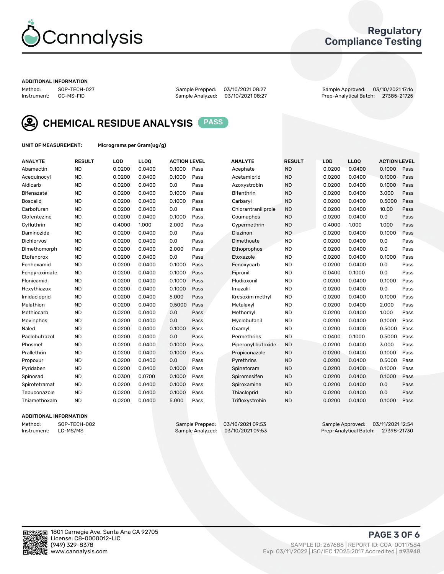

## Regulatory Compliance Testing

#### ADDITIONAL INFORMATION

| Method:     | SOP-TECH-02 |
|-------------|-------------|
| Instrument: | GC-MS-FID   |

Sample Analyzed: 03/10/2021 08:27

Method: SOP-TECH-027 Sample Prepped: 03/10/2021 08:27 Sample Approved: 03/10/2021 17:16



CHEMICAL RESIDUE ANALYSIS PASS

UNIT OF MEASUREMENT: Micrograms per Gram(ug/g)

| <b>ANALYTE</b>    | <b>RESULT</b> | LOD    | LLOQ   | <b>ACTION LEVEL</b> |      | <b>ANALYTE</b>      | <b>RESULT</b> | <b>LOD</b> | <b>LLOQ</b> | <b>ACTION LEVEL</b> |      |
|-------------------|---------------|--------|--------|---------------------|------|---------------------|---------------|------------|-------------|---------------------|------|
| Abamectin         | <b>ND</b>     | 0.0200 | 0.0400 | 0.1000              | Pass | Acephate            | <b>ND</b>     | 0.0200     | 0.0400      | 0.1000              | Pass |
| Acequinocyl       | <b>ND</b>     | 0.0200 | 0.0400 | 0.1000              | Pass | Acetamiprid         | <b>ND</b>     | 0.0200     | 0.0400      | 0.1000              | Pass |
| Aldicarb          | <b>ND</b>     | 0.0200 | 0.0400 | 0.0                 | Pass | Azoxystrobin        | <b>ND</b>     | 0.0200     | 0.0400      | 0.1000              | Pass |
| Bifenazate        | <b>ND</b>     | 0.0200 | 0.0400 | 0.1000              | Pass | <b>Bifenthrin</b>   | <b>ND</b>     | 0.0200     | 0.0400      | 3.000               | Pass |
| <b>Boscalid</b>   | <b>ND</b>     | 0.0200 | 0.0400 | 0.1000              | Pass | Carbarvl            | <b>ND</b>     | 0.0200     | 0.0400      | 0.5000              | Pass |
| Carbofuran        | <b>ND</b>     | 0.0200 | 0.0400 | 0.0                 | Pass | Chlorantraniliprole | <b>ND</b>     | 0.0200     | 0.0400      | 10.00               | Pass |
| Clofentezine      | <b>ND</b>     | 0.0200 | 0.0400 | 0.1000              | Pass | Coumaphos           | <b>ND</b>     | 0.0200     | 0.0400      | 0.0                 | Pass |
| Cyfluthrin        | <b>ND</b>     | 0.4000 | 1.000  | 2.000               | Pass | Cypermethrin        | <b>ND</b>     | 0.4000     | 1.000       | 1.000               | Pass |
| Daminozide        | <b>ND</b>     | 0.0200 | 0.0400 | 0.0                 | Pass | Diazinon            | <b>ND</b>     | 0.0200     | 0.0400      | 0.1000              | Pass |
| <b>Dichlorvos</b> | <b>ND</b>     | 0.0200 | 0.0400 | 0.0                 | Pass | Dimethoate          | <b>ND</b>     | 0.0200     | 0.0400      | 0.0                 | Pass |
| Dimethomorph      | <b>ND</b>     | 0.0200 | 0.0400 | 2.000               | Pass | <b>Ethoprophos</b>  | <b>ND</b>     | 0.0200     | 0.0400      | 0.0                 | Pass |
| Etofenprox        | <b>ND</b>     | 0.0200 | 0.0400 | 0.0                 | Pass | Etoxazole           | <b>ND</b>     | 0.0200     | 0.0400      | 0.1000              | Pass |
| Fenhexamid        | <b>ND</b>     | 0.0200 | 0.0400 | 0.1000              | Pass | Fenoxycarb          | <b>ND</b>     | 0.0200     | 0.0400      | 0.0                 | Pass |
| Fenpyroximate     | <b>ND</b>     | 0.0200 | 0.0400 | 0.1000              | Pass | Fipronil            | <b>ND</b>     | 0.0400     | 0.1000      | 0.0                 | Pass |
| Flonicamid        | <b>ND</b>     | 0.0200 | 0.0400 | 0.1000              | Pass | Fludioxonil         | <b>ND</b>     | 0.0200     | 0.0400      | 0.1000              | Pass |
| Hexythiazox       | <b>ND</b>     | 0.0200 | 0.0400 | 0.1000              | Pass | Imazalil            | <b>ND</b>     | 0.0200     | 0.0400      | 0.0                 | Pass |
| Imidacloprid      | <b>ND</b>     | 0.0200 | 0.0400 | 5.000               | Pass | Kresoxim methyl     | <b>ND</b>     | 0.0200     | 0.0400      | 0.1000              | Pass |
| Malathion         | <b>ND</b>     | 0.0200 | 0.0400 | 0.5000              | Pass | Metalaxyl           | <b>ND</b>     | 0.0200     | 0.0400      | 2.000               | Pass |
| Methiocarb        | <b>ND</b>     | 0.0200 | 0.0400 | 0.0                 | Pass | Methomyl            | <b>ND</b>     | 0.0200     | 0.0400      | 1.000               | Pass |
| Mevinphos         | <b>ND</b>     | 0.0200 | 0.0400 | 0.0                 | Pass | Myclobutanil        | <b>ND</b>     | 0.0200     | 0.0400      | 0.1000              | Pass |
| Naled             | <b>ND</b>     | 0.0200 | 0.0400 | 0.1000              | Pass | Oxamyl              | <b>ND</b>     | 0.0200     | 0.0400      | 0.5000              | Pass |
| Paclobutrazol     | <b>ND</b>     | 0.0200 | 0.0400 | 0.0                 | Pass | Permethrins         | <b>ND</b>     | 0.0400     | 0.1000      | 0.5000              | Pass |
| Phosmet           | <b>ND</b>     | 0.0200 | 0.0400 | 0.1000              | Pass | Piperonyl butoxide  | <b>ND</b>     | 0.0200     | 0.0400      | 3.000               | Pass |
| Prallethrin       | <b>ND</b>     | 0.0200 | 0.0400 | 0.1000              | Pass | Propiconazole       | <b>ND</b>     | 0.0200     | 0.0400      | 0.1000              | Pass |
| Propoxur          | <b>ND</b>     | 0.0200 | 0.0400 | 0.0                 | Pass | Pyrethrins          | <b>ND</b>     | 0.0200     | 0.0400      | 0.5000              | Pass |
| Pyridaben         | <b>ND</b>     | 0.0200 | 0.0400 | 0.1000              | Pass | Spinetoram          | <b>ND</b>     | 0.0200     | 0.0400      | 0.1000              | Pass |
| Spinosad          | <b>ND</b>     | 0.0300 | 0.0700 | 0.1000              | Pass | Spiromesifen        | <b>ND</b>     | 0.0200     | 0.0400      | 0.1000              | Pass |
| Spirotetramat     | <b>ND</b>     | 0.0200 | 0.0400 | 0.1000              | Pass | Spiroxamine         | <b>ND</b>     | 0.0200     | 0.0400      | 0.0                 | Pass |
| Tebuconazole      | <b>ND</b>     | 0.0200 | 0.0400 | 0.1000              | Pass | Thiacloprid         | <b>ND</b>     | 0.0200     | 0.0400      | 0.0                 | Pass |
| Thiamethoxam      | <b>ND</b>     | 0.0200 | 0.0400 | 5.000               | Pass | Trifloxystrobin     | <b>ND</b>     | 0.0200     | 0.0400      | 0.1000              | Pass |
|                   |               |        |        |                     |      |                     |               |            |             |                     |      |

#### ADDITIONAL INFORMATION

Method: SOP-TECH-002 Sample Prepped: 03/10/2021 09:53 Sample Approved: 03/11/2021 12:54<br>Instrument: LC-MS/MS Sample Analyzed: 03/10/2021 09:53 Prep-Analytical Batch: 27398-21730 Prep-Analytical Batch: 27398-21730

PAGE 3 OF 6

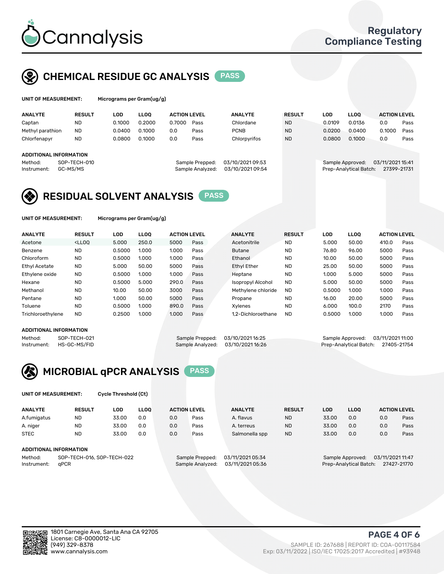

## CHEMICAL RESIDUE GC ANALYSIS PASS

| UNIT OF MEASUREMENT: | Micr |
|----------------------|------|
|----------------------|------|

ograms per Gram(ug/g)

| <b>ANALYTE</b>         | <b>RESULT</b> | LOD    | <b>LLOO</b> | <b>ACTION LEVEL</b> |                  | <b>ANALYTE</b>   | <b>RESULT</b>    |  | <b>LOD</b> | <b>LLOO</b>            | <b>ACTION LEVEL</b> |      |
|------------------------|---------------|--------|-------------|---------------------|------------------|------------------|------------------|--|------------|------------------------|---------------------|------|
| Captan                 | <b>ND</b>     | 0.1000 | 0.2000      | 0.7000              | Pass             | Chlordane        | <b>ND</b>        |  | 0.0109     | 0.0136                 | 0.0                 | Pass |
| Methyl parathion       | <b>ND</b>     | 0.0400 | 0.1000      | 0.0                 | Pass             | <b>PCNB</b>      | <b>ND</b>        |  | 0.0200     | 0.0400                 | 0.1000              | Pass |
| Chlorfenapyr           | <b>ND</b>     | 0.0800 | 0.1000      | 0.0                 | Pass             | Chlorpyrifos     | <b>ND</b>        |  | 0.0800     | 0.1000                 | 0.0                 | Pass |
|                        |               |        |             |                     |                  |                  |                  |  |            |                        |                     |      |
| ADDITIONAL INFORMATION |               |        |             |                     |                  |                  |                  |  |            |                        |                     |      |
| Method:                | SOP-TECH-010  |        |             |                     | Sample Prepped:  | 03/10/2021 09:53 | Sample Approved: |  |            | 03/11/2021 15:41       |                     |      |
| Instrument:            | GC-MS/MS      |        |             |                     | Sample Analyzed: | 03/10/2021 09:54 |                  |  |            | Prep-Analytical Batch: | 27399-21731         |      |
|                        |               |        |             |                     |                  |                  |                  |  |            |                        |                     |      |

## RESIDUAL SOLVENT ANALYSIS PASS

UNIT OF MEASUREMENT: Micrograms per Gram(ug/g)

| <b>ANALYTE</b>       | <b>RESULT</b>                                                                                                                                                             | LOD    | <b>LLOO</b> | <b>ACTION LEVEL</b> |      | <b>ANALYTE</b>           | <b>RESULT</b> | LOD    | <b>LLOO</b> | <b>ACTION LEVEL</b> |      |
|----------------------|---------------------------------------------------------------------------------------------------------------------------------------------------------------------------|--------|-------------|---------------------|------|--------------------------|---------------|--------|-------------|---------------------|------|
| Acetone              | <lloq< th=""><th>5.000</th><th>250.0</th><th>5000</th><th>Pass</th><th>Acetonitrile</th><th><b>ND</b></th><th>5.000</th><th>50.00</th><th>410.0</th><th>Pass</th></lloq<> | 5.000  | 250.0       | 5000                | Pass | Acetonitrile             | <b>ND</b>     | 5.000  | 50.00       | 410.0               | Pass |
| Benzene              | <b>ND</b>                                                                                                                                                                 | 0.5000 | 1.000       | 1.000               | Pass | <b>Butane</b>            | <b>ND</b>     | 76.80  | 96.00       | 5000                | Pass |
| Chloroform           | <b>ND</b>                                                                                                                                                                 | 0.5000 | 1.000       | 1.000               | Pass | Ethanol                  | <b>ND</b>     | 10.00  | 50.00       | 5000                | Pass |
| <b>Ethyl Acetate</b> | <b>ND</b>                                                                                                                                                                 | 5.000  | 50.00       | 5000                | Pass | <b>Ethyl Ether</b>       | <b>ND</b>     | 25.00  | 50.00       | 5000                | Pass |
| Ethylene oxide       | <b>ND</b>                                                                                                                                                                 | 0.5000 | 1.000       | 1.000               | Pass | Heptane                  | <b>ND</b>     | 1.000  | 5.000       | 5000                | Pass |
| Hexane               | <b>ND</b>                                                                                                                                                                 | 0.5000 | 5.000       | 290.0               | Pass | <b>Isopropyl Alcohol</b> | <b>ND</b>     | 5.000  | 50.00       | 5000                | Pass |
| Methanol             | <b>ND</b>                                                                                                                                                                 | 10.00  | 50.00       | 3000                | Pass | Methylene chloride       | <b>ND</b>     | 0.5000 | 1.000       | 1.000               | Pass |
| Pentane              | <b>ND</b>                                                                                                                                                                 | 1.000  | 50.00       | 5000                | Pass | Propane                  | <b>ND</b>     | 16.00  | 20.00       | 5000                | Pass |
| Toluene              | <b>ND</b>                                                                                                                                                                 | 0.5000 | 1.000       | 890.0               | Pass | Xvlenes                  | <b>ND</b>     | 6.000  | 100.0       | 2170                | Pass |
| Trichloroethylene    | <b>ND</b>                                                                                                                                                                 | 0.2500 | 1.000       | 1.000               | Pass | 1.2-Dichloroethane       | <b>ND</b>     | 0.5000 | 1.000       | 1.000               | Pass |

#### ADDITIONAL INFORMATION

Method: SOP-TECH-021 Sample Prepped: 03/10/2021 16:25 Sample Approved: 03/11/2021 11:00<br>Instrument: HS-GC-MS/FID Sample Analyzed: 03/10/2021 16:26 Prep-Analytical Batch: 27405-21754 Prep-Analytical Batch: 27405-21754



UNIT OF MEASUREMENT: Cycle Threshold (Ct)

| <b>ANALYTE</b>                        | <b>RESULT</b>          | LOD   | <b>LLOO</b>      |                  | <b>ACTION LEVEL</b> | <b>ANALYTE</b> | <b>RESULT</b>                        | LOD   | <b>LLOO</b> |     | <b>ACTION LEVEL</b> |
|---------------------------------------|------------------------|-------|------------------|------------------|---------------------|----------------|--------------------------------------|-------|-------------|-----|---------------------|
| A.fumigatus                           | <b>ND</b>              | 33.00 | 0.0              | 0.0              | Pass                | A. flavus      | <b>ND</b>                            | 33.00 | 0.0         | 0.0 | Pass                |
| A. niger                              | <b>ND</b>              | 33.00 | 0.0              | 0.0              | Pass                | A. terreus     | <b>ND</b>                            | 33.00 | 0.0         | 0.0 | Pass                |
| <b>STEC</b>                           | <b>ND</b>              | 33.00 | 0.0              | 0.0              | Pass                | Salmonella spp | <b>ND</b>                            | 33.00 | 0.0         | 0.0 | Pass                |
|                                       | ADDITIONAL INFORMATION |       |                  |                  |                     |                |                                      |       |             |     |                     |
| SOP-TECH-016, SOP-TECH-022<br>Method: |                        |       |                  | Sample Prepped:  | 03/11/2021 05:34    |                | 03/11/2021 11:47<br>Sample Approved: |       |             |     |                     |
| aPCR<br>Instrument:                   |                        |       | Sample Analyzed: | 03/11/2021 05:36 |                     |                | Prep-Analytical Batch:               |       | 27427-21770 |     |                     |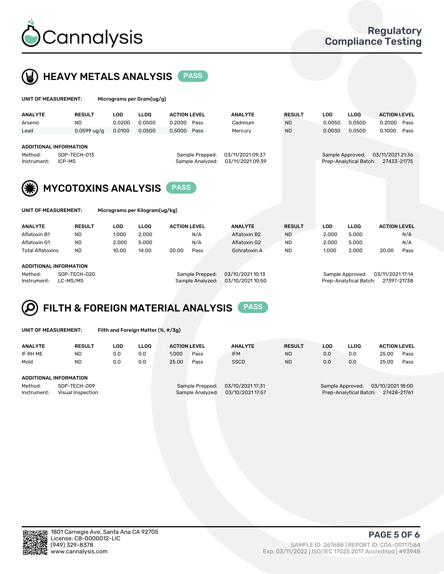



| UNIT OF MEASUREMENT:<br>Micrograms per Gram(ug/g)                                                                                                                |                            |        |             |                     |      |                |               |            |                                            |                                 |      |
|------------------------------------------------------------------------------------------------------------------------------------------------------------------|----------------------------|--------|-------------|---------------------|------|----------------|---------------|------------|--------------------------------------------|---------------------------------|------|
| <b>ANALYTE</b>                                                                                                                                                   | <b>RESULT</b>              | LOD    | <b>LLOO</b> | <b>ACTION LEVEL</b> |      | <b>ANALYTE</b> | <b>RESULT</b> | <b>LOD</b> | LLOO <sup>1</sup>                          | <b>ACTION LEVEL</b>             |      |
| Arsenic                                                                                                                                                          | <b>ND</b>                  | 0.0200 | 0.0500      | 0.2000              | Pass | Cadmium        | ND.           | 0.0050     | 0.0500                                     | 0.2000                          | Pass |
| Lead                                                                                                                                                             | $0.0599$ ug/g              | 0.0100 | 0.0500      | 0.5000              | Pass | Mercury        | <b>ND</b>     | 0.0030     | 0.0500                                     | 0.1000                          | Pass |
| <b>ADDITIONAL INFORMATION</b><br>03/11/2021 09:37<br>SOP-TECH-013<br>Sample Prepped:<br>Method:<br>Sample Analyzed:<br>03/11/2021 09:39<br>ICP-MS<br>Instrument: |                            |        |             |                     |      |                |               |            | Sample Approved:<br>Prep-Analytical Batch: | 03/11/2021 21:36<br>27433-21775 |      |
| (类)                                                                                                                                                              | <b>MYCOTOXINS ANALYSIS</b> |        |             |                     |      |                |               |            |                                            |                                 |      |
| Micrograms per Kilogram(ug/kg)<br>UNIT OF MEASUREMENT:                                                                                                           |                            |        |             |                     |      |                |               |            |                                            |                                 |      |

| <b>ANALYTE</b>          | <b>RESULT</b> | LOD   | LLOO  | <b>ACTION LEVEL</b> |      | <b>ANALYTE</b> | <b>RESULT</b> | LOD   | <b>LLOO</b> | <b>ACTION LEVEL</b> |      |
|-------------------------|---------------|-------|-------|---------------------|------|----------------|---------------|-------|-------------|---------------------|------|
| Aflatoxin B1            | <b>ND</b>     | 1.000 | 2.000 |                     | N/A  | Aflatoxin B2   | <b>ND</b>     | 2.000 | 5.000       |                     | N/A  |
| Aflatoxin G1            | <b>ND</b>     | 2.000 | 5.000 |                     | N/A  | Aflatoxin G2   | <b>ND</b>     | 2.000 | 5.000       |                     | N/A  |
| <b>Total Aflatoxins</b> | <b>ND</b>     | 10.00 | 14.00 | 20.00               | Pass | Ochratoxin A   | <b>ND</b>     | 1.000 | 2.000       | 20.00               | Pass |
| ADDITIONAL INFORMATION  |               |       |       |                     |      |                |               |       |             |                     |      |

Method: SOP-TECH-020 Sample Prepped: 03/10/2021 10:13 Sample Approved: 03/11/2021 17:14 Instrument: LC-MS/MS Sample Analyzed: 03/10/2021 10:50 Prep-Analytical Batch: 27397-21738

# FILTH & FOREIGN MATERIAL ANALYSIS PASS

UNIT OF MEASUREMENT: Filth and Foreign Matter (%, #/3g)

| <b>ANALYTE</b>                                              | <b>RESULT</b> | LOD | LLOO | <b>ACTION LEVEL</b> |                                     | <b>ANALYTE</b>                       | <b>RESULT</b>                                                                 | LOD | <b>LLOO</b> | <b>ACTION LEVEL</b> |      |
|-------------------------------------------------------------|---------------|-----|------|---------------------|-------------------------------------|--------------------------------------|-------------------------------------------------------------------------------|-----|-------------|---------------------|------|
| IF RH ME                                                    | <b>ND</b>     | 0.0 | 0.0  | 1.000               | Pass                                | <b>IFM</b>                           | <b>ND</b>                                                                     | 0.0 | 0.0         | 25.00               | Pass |
| Mold                                                        | <b>ND</b>     | 0.0 | 0.0  | 25.00               | Pass                                | <b>SSCD</b>                          | <b>ND</b>                                                                     | 0.0 | 0.0         | 25.00               | Pass |
| ADDITIONAL INFORMATION                                      |               |     |      |                     |                                     |                                      |                                                                               |     |             |                     |      |
| Method:<br>SOP-TECH-009<br>Instrument:<br>Visual Inspection |               |     |      |                     | Sample Prepped:<br>Sample Analyzed: | 03/10/2021 17:31<br>03/10/2021 17:57 | 03/10/2021 18:00<br>Sample Approved:<br>Prep-Analytical Batch:<br>27428-21761 |     |             |                     |      |